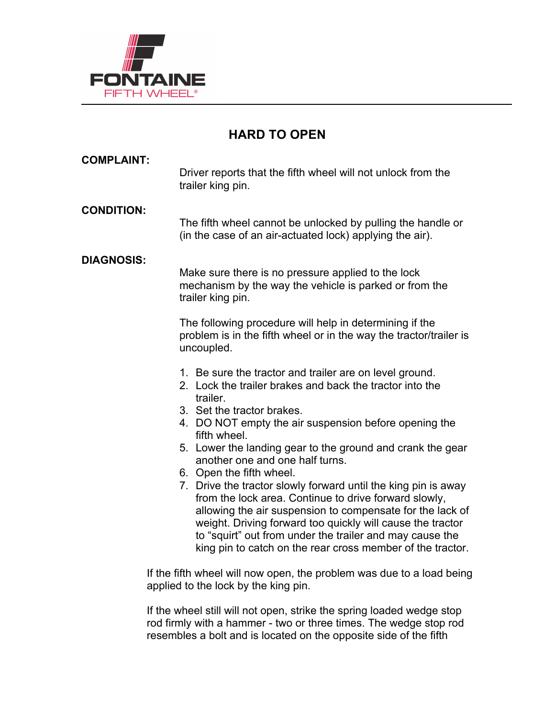

# **HARD TO OPEN**

| <b>COMPLAINT:</b>                                                                                             | Driver reports that the fifth wheel will not unlock from the<br>trailer king pin.                                                                                                                                                                                                                                                                                                                        |
|---------------------------------------------------------------------------------------------------------------|----------------------------------------------------------------------------------------------------------------------------------------------------------------------------------------------------------------------------------------------------------------------------------------------------------------------------------------------------------------------------------------------------------|
| <b>CONDITION:</b>                                                                                             | The fifth wheel cannot be unlocked by pulling the handle or<br>(in the case of an air-actuated lock) applying the air).                                                                                                                                                                                                                                                                                  |
| <b>DIAGNOSIS:</b>                                                                                             | Make sure there is no pressure applied to the lock<br>mechanism by the way the vehicle is parked or from the<br>trailer king pin.                                                                                                                                                                                                                                                                        |
|                                                                                                               | The following procedure will help in determining if the<br>problem is in the fifth wheel or in the way the tractor/trailer is<br>uncoupled.                                                                                                                                                                                                                                                              |
|                                                                                                               | 1. Be sure the tractor and trailer are on level ground.<br>2. Lock the trailer brakes and back the tractor into the<br>trailer.                                                                                                                                                                                                                                                                          |
|                                                                                                               | 3. Set the tractor brakes.<br>4. DO NOT empty the air suspension before opening the<br>fifth wheel.                                                                                                                                                                                                                                                                                                      |
|                                                                                                               | 5. Lower the landing gear to the ground and crank the gear<br>another one and one half turns.                                                                                                                                                                                                                                                                                                            |
|                                                                                                               | 6. Open the fifth wheel.<br>7. Drive the tractor slowly forward until the king pin is away<br>from the lock area. Continue to drive forward slowly,<br>allowing the air suspension to compensate for the lack of<br>weight. Driving forward too quickly will cause the tractor<br>to "squirt" out from under the trailer and may cause the<br>king pin to catch on the rear cross member of the tractor. |
| If the fifth wheel will now open, the problem was due to a load being<br>applied to the lock by the king pin. |                                                                                                                                                                                                                                                                                                                                                                                                          |

If the wheel still will not open, strike the spring loaded wedge stop rod firmly with a hammer - two or three times. The wedge stop rod resembles a bolt and is located on the opposite side of the fifth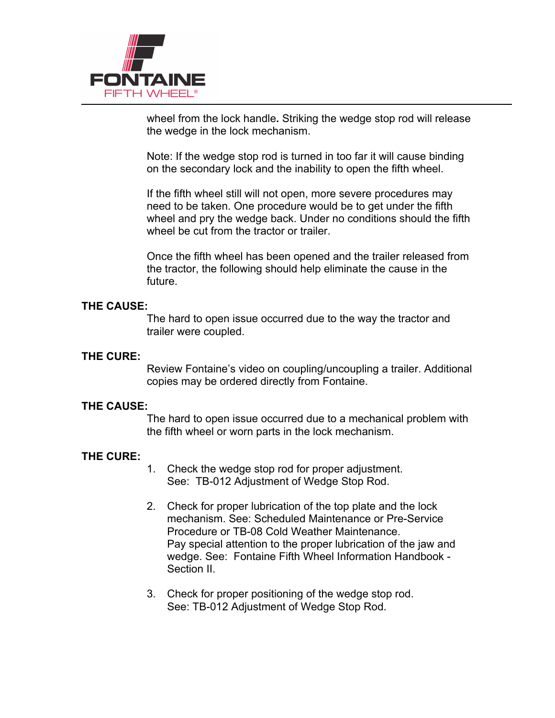

wheel from the lock handle**.** Striking the wedge stop rod will release the wedge in the lock mechanism.

Note: If the wedge stop rod is turned in too far it will cause binding on the secondary lock and the inability to open the fifth wheel.

If the fifth wheel still will not open, more severe procedures may need to be taken. One procedure would be to get under the fifth wheel and pry the wedge back. Under no conditions should the fifth wheel be cut from the tractor or trailer.

Once the fifth wheel has been opened and the trailer released from the tractor, the following should help eliminate the cause in the future.

### **THE CAUSE:**

The hard to open issue occurred due to the way the tractor and trailer were coupled.

### **THE CURE:**

Review Fontaine's video on coupling/uncoupling a trailer. Additional copies may be ordered directly from Fontaine.

### **THE CAUSE:**

The hard to open issue occurred due to a mechanical problem with the fifth wheel or worn parts in the lock mechanism.

### **THE CURE:**

- 1. Check the wedge stop rod for proper adjustment. See: TB-012 Adjustment of Wedge Stop Rod.
- 2. Check for proper lubrication of the top plate and the lock mechanism. See: Scheduled Maintenance or Pre-Service Procedure or TB-08 Cold Weather Maintenance. Pay special attention to the proper lubrication of the jaw and wedge. See: Fontaine Fifth Wheel Information Handbook - Section II.
- 3. Check for proper positioning of the wedge stop rod. See: TB-012 Adjustment of Wedge Stop Rod.